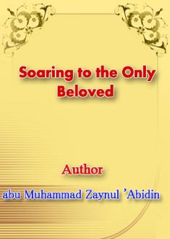# **Soaring to the Only Beloved**



# abu Muhammad Zaynul 'Abidin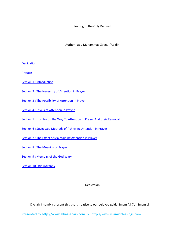Soaring to the Only Beloved

Author : abu Muhammad Zaynul 'Abidin

**Dedication** 

**Preface** 

Section 1 : Introduction

Section 2 : The Necessity of Attention in Prayer

Section 3 : The Possibility of Attention in Prayer

Section 4 : Levels of Attention in Prayer

Section 5 : Hurdles on the Way To Attention in Prayer And their Removal

Section 6 : Suggested Methods of Achieving Attention In Prayer

Section 7 : The Effect of Maintaining Attention in Prayer

Section 8 : The Meaning of Prayer

Section 9 : Memoirs of the God Wary

Section 10 : Bibliography

Dedication

O Allah, I humbly present this short treatise to our beloved guide, Imam Ali (`a)‐ Imam al‐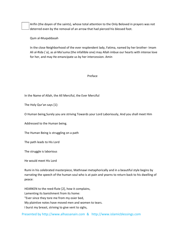Arifin (the doyen of the saints), whose total attention to the Only Beloved in prayers was not deterred even by the removal of an arrow that had pierced his blessed foot.

Qum al‐Muqaddasah

In the close Neighborhood of the ever resplendent lady, Fatima, named by her brother‐ Imam Ali al‐Rida (`a), as al‐Ma'suma (the infallible one) may Allah imbue our hearts with intense love for her, and may He emancipate us by her intercession. Amin

#### Preface

In the Name of Allah, the All Merciful, the Ever Merciful

The Holy Qur'an says [1]:

O Human being,Surely you are striving Towards your Lord Laboriously, And you shall meet Him

Addressed to the Human being.

The Human Being is struggling on a path

The path leads to His Lord

The struggle is laborious

He would meet His Lord

Rumi in his celebrated masterpiece, Mathnawi metaphorically and in a beautiful style begins by narrating the speech of the human soul who is at pain and yearns to return back to his dwelling of peace:

HEARKEN to the reed‐flute [2], how it complains, Lamenting its banishment from its home: "Ever since they tore me from my osier bed, My plaintive notes have moved men and women to tears. I burst my breast, striving to give vent to sighs,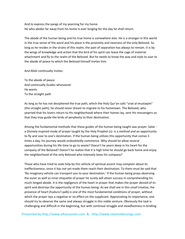And to express the pangs of my yearning for my home. He who abides far away from his home Is ever longing for the day he shall return.

The abode of the human being and his true home is somewhere else. He is a stranger in this world in the true sense of the word and his place is the proximity and nearness of the only Beloved. So long as he resides in the straits of this realm, the pain of separation has always to remain. It is by the wings of knowledge and action that the bird of his spirit can leave the cage of material attachment and fly to the realm of the Beloved. But he needs to know the way and style to soar to the abode of peace to which the Beloved himself invites him:

And Allah continually Invites

To the abode of peace And continually Guides whosoever He wants To the straight path

As long as he has not deciphered the true path, which the Holy Qur'an calls "sirat al-mustagim" (the straight path), he should never dream to migrate to his hometown. The Beloved, who yearned that his lovers return to His neighborhood where their homes lay, sent His messengers so that they may guide the birds of perplexity to their destination.

Among the fundamental methods that these guides of the human being taught was prayer. Salat ‐ a Divinely inspired mode of prayer taught by the Holy Prophet (s)‐ is a method and an opportunity to fly and soar to one's destination. If the human being utilizes this opportunity that comes 5 times a day, his journey would undoubtedly commence. Why should he allow several opportunities during his life time to go to waste? Doesn't he yearn deep in his heart for the company of the Beloved? Doesn't he realize that it is high time he should go back home and enjoy the neighborhood of the only Beloved who intensely loves his company?

Those who have tried to seek help by this vehicle of spiritual ascent may complain about its ineffectiveness, since it has not yet made them reach their destination. To them must be said that 'No imaginary vehicle can transport you to your destination.' If the human being prays observing the outer as well as inner etiquette of prayer he surely will attain success in comprehending his much longed abode. It is the negligence of the heart in prayer that makes the prayer devoid of its spirit and destroys the opportunity of the human being. As we shall see in this small treatise, the presence of heart (huduru'l qalb) is one of the most fundamental conditions of prayer, without which the prayer lays a negative or no effect on the supplicant. Appreciating its importance, one should try to observe the same and always struggle in this noble venture. Obviously the task is challenging and difficult in the beginning, but with continual struggle and steadfastness in bridling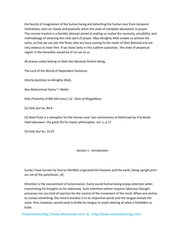the faculty of imagination of the human being and detaching the human soul from temporal inclinations, one can slowly and gradually attain the state of complete absorption in prayer. This concise treatise is a humble attempt aimed at making us realize the necessity, possibility, and methodology of attaining this vital spirit of prayer. May Almighty Allah enable us achieve the same, so that we can join the flocks who are busy soaring to the realm of their Beloved and are very anxious to meet Him. If we show laxity in this sublime aspiration, 'the state of perpetual regret' in the Hereafter would be of no use to us.

All praises solely belong to Allah‐the Absolute Perfect Being,

The Lord of the World of Dependent Existence.

Utterly destitute to Almighty Allah,

Abu Muhammad Zaynu' l `Abidin

Holy Proximity of Bibi Ma'suma (`a) ‐ Qum‐al‐Mugaddasa

[1] Holy Qur'an, 84:6

[2] Reed Flute is a metaphor for the Human soul‐ See commentary of Mathnawi by H'aj Mulla Hadi Sabzawari- the great Shi'ite mystic-philosopher, vol. 1, p.17

[3] Holy Qur'an, 10:25

# Section 1 : Introduction

Surely I have turned my face to HimWho originated the heavens and the earth, being upright;and I am not of the polytheists. [4]

Attention is the concomitant of conversation. Every sound human being enjoys attention when transmitting his thoughts to his addressee. Such attention neither requires laborious thought processes nor any kind of exertion for the control of the movement of the mind. When one wishes to convey something, the mind translates it to its respective words and the tongue reveals the same. One, however, would need to bridle his tongue to avoid uttering all what is forbidden or futile.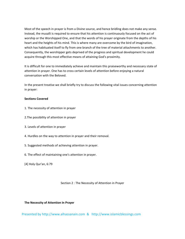Most of the speech in prayer is from a Divine source, and hence bridling does not make any sense. Instead, the musalli is required to ensure that his attention is continuously focused on the act of worship or the Worshipped One, and that the words of his prayer originate from the depths of his heart and the heights of his mind. This is where many are overcome by the bird of imagination, which has habituated itself to fly from one branch of the tree of material attachments to another. Consequently, the worshipper gets deprived of the progress and spiritual development he could acquire through this most effective means of attaining God's proximity.

It is difficult for one to immediately achieve and maintain this praiseworthy and necessary state of attention in prayer. One has to cross certain levels of attention before enjoying a natural conversation with the Beloved.

In the present treatise we shall briefly try to discuss the following vital issues concerning attention in prayer:

# **Sections Covered**

- 1. The necessity of attention in prayer
- 2.The possibility of attention in prayer
- 3. Levels of attention in prayer
- 4. Hurdles on the way to attention in prayer and their removal.
- 5. Suggested methods of achieving attention in prayer.
- 6. The effect of maintaining one's attention in prayer.
- [4] Holy Qur'an, 6:79

# Section 2 : The Necessity of Attention in Prayer

# **The Necessity of Attention In Prayer**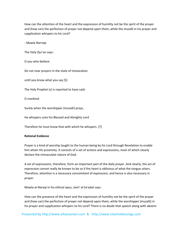How can the attention of the heart and the expression of humility not be the spirit of the prayer and (how can) the perfection of prayer not depend upon them, while the musalli in his prayer and supplication whispers to his Lord?

‐ Mawla Narraqi

The Holy Qur'an says:

O you who believe

Do not near prayers in the state of intoxication

until you know what you say [5]

The Holy Prophet (s) is reported to have said:

O mankind

Surely when the worshipper (musalli) prays,

He whispers unto his Blessed and Almighty Lord

Therefore he must know that with which he whispers. [7]

# **Rational Evidence**

Prayer is a kind of worship taught to the human being by his Lord through Revelation to enable him attain His proximity. It consists of a set of actions and expressions, most of which clearly declare the immaculate nature of God.

A set of expressions, therefore, form an important part of the daily prayer. And clearly, the act of expression cannot really be known to be so if the heart is oblivious of what the tongue utters. Therefore, attention is a necessary concomitant of expression, and hence is also necessary in prayer.

Mawla al‐Naraqi in his ethical opus, Jami' al‐Sa'adat says:

How can the presence of the heart and the expression of humility not be the spirit of the prayer and (how can) the perfection of prayer not depend upon them, while the worshipper (musalli) in his prayer and supplication whispers to his Lord? There is no doubt that speech along with absent-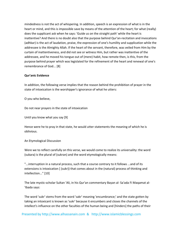mindedness is not the act of whispering. In addition, speech is an expression of what is in the heart or mind, and this is impossible save by means of the attention of the heart; for what (really) does the supplicant ask when he says: 'Guide us on the straight path' while the heart is inattentive? And there is no doubt also that the purpose behind Qur'an-recitation and invocations (adhkar) is the act of laudation, praise, the expression of one's humility and supplication while the addressee is the Almighty Allah. If the heart of the servant, therefore, was veiled from Him by the curtain of inattentiveness, and did not see or witness Him, but rather was inattentive of the addressee, and he moved his tongue out of (mere) habit, how remote then, is this, from the purpose behind prayer which was legislated for the refinement of the heart and renewal of one's remembrance of God... [8]

# **Qur'anic Evidence**

In addition, the following verse implies that the reason behind the prohibition of prayer in the state of intoxication is the worshipper's ignorance of what he utters:

O you who believe,

Do not near prayers in the state of intoxication

Until you know what you say [9]

Hence were he to pray in that state, he would utter statements the meaning of which he is oblivious.

# An Etymological Discussion

Were we to reflect carefully on this verse, we would come to realize its universality: the word (sukara) is the plural of (sukran) and the word etymologically means:

"...interruption in a natural process, such that a course contrary to it follows ...and of its extensions is intoxication [ (sukr)) that comes about in the (natural) process of thinking and intellection..." [10]

The late mystic‐scholar Sultan 'Ali, in his Qur'an commentary Bayan al‐ Sa'ada Fi Maqamat al‐ 'Ibada says:

The word 'sukr' stems from the word 'sakr' meaning 'encumbrance;' and the state gotten by taking an intoxicant is known as 'sukr' because it encumbers and closes the channels of the intellect's influence on the other faculties of the human being and [hinders] the paths of their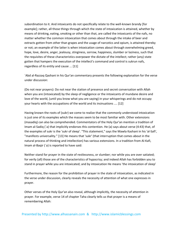subordination to it. And intoxicants do not specifically relate to the well-known brandy [for example]; rather, all those things through which the state of intoxication is attained, whether by means of drinking, eating, smoking or other than that, are called the intoxicants of the nafs, no matter whether the common intoxication that comes about through the intake of beer and extracts gotten from other than grapes and the usage of narcotics and opium, is attained thereby or not; an example of the latter is when intoxication comes about through overwhelming greed, hope, love, desire, anger, jealousy, stinginess, sorrow, happiness, slumber or laziness, such that the requisites of these characteristics overpower the dictate of the intellect; rather (any) state gotten that hampers the execution of the intellect's command and control is sukrun nafs, regardless of its entity and cause ... [11]

`Abd al‐Razzaq Qashani in his Qur'an commentary presents the following explanation for the verse under discussion:

(Do not near prayers): Do not near the station of presence and secret conversation with Allah when you are (intoxicated) by the sleep of negligence or the intoxicants of mundane desire and love of the world, (until you know what you are saying) in your whisperings and do not occupy your hearts with the occupations of the world and its insinuations .... [12]

Having known the roots of (sukr) we come to realize that the commonly understood intoxication is just one of its examples which the masses seem to be most familiar with. Other extensions (masadiq) can also be comprehended. Commentators of the Holy Qur'an mention a tradition of Imam al-Sadiq (`a) that implicitly endorses this contention. He (a) says about verse (4:43) that, of the examples of sukr is the 'sukr of sleep'. "This statement," says the Mawla Kashani in his 'al‐Safi', "manifests universality." [13] He means that 'sukr' (that interruption that comes about in the natural process of thinking and intellection) has various extensions. In a tradition from Al‐Kafi, Imam al-Baqir (`a) is reported to have said:

Neither stand for prayer in the state of restlessness, or slumber; nor while you are over satiated; for verily (all) those are of the characteristics of hypocrisy; and indeed Allah has forbidden you to stand in prayer while you are intoxicated; and by intoxication He means 'the intoxication of sleep'

Furthermore, the reason for the prohibition of prayer in the state of intoxication, as indicated in the verse under discussion, clearly reveals the necessity of attention of what one expresses in prayer.

Other verses of the Holy Qur'an also reveal, although implicitly, the necessity of attention in prayer. For example, verse 14 of chapter Taha clearly tells us that prayer is a means of remembering Allah: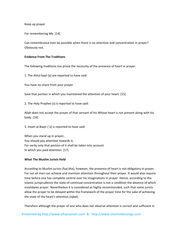Keep up prayer

For remembering Me. [14]

Can remembrance ever be possible when there is no attention and concentration in prayer? Obviously not.

# **Evidence From The Traditions**

The following traditions too prove the necessity of the presence of heart in prayer:

1. The Ahlul bayt (a) are reported to have said:

You have no share from your prayer

Save that portion in which you maintained the attention of your heart. [15]

2. The Holy Prophet (s) is reported to have said:

Allah does not accept the prayer of that servant of his Whose heart is not present along with his body. [16]

3. Imam al‐Baqir (`a) is reported to have said:

When you stand up in prayer, You should pay attention towards it, For verily only that portion of it shall be taken into account In which you paid attention. [17]

# **What The Muslim Jurists Hold**

According to Muslim jurists (fuq'aha), however, the presence of heart is not obligatory in prayer. For not all men can achieve and maintain attention throughout their prayer. It would also require time before one has complete control over his imaginations in prayer. Hence, according to the Islamic jurisprudence the state of continual concentration is not a condition the absence of which invalidates prayer. Nevertheless it is considered as highly recommended, such that some jurists allow the prayer to be delayed within the framework of the prayer time for the sake of achieving the state of the heart's attention (iqbal).

Therefore although the prayer of one who does not observe attention is correct and sufficient in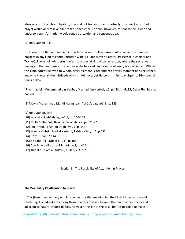absolving him from his obligation, it would not transport him spiritually. The overt actions of prayer would only relieve him from disobedience. For him, however, to soar to the Divine and undergo a transformation would require attention and concentration.

# [5] Holy Qur'an 4:43

[6] There is subtle point implied in this holy narration. The musalli 'whispers' and not merely engages in any kind of communication with His Rabb (Lover, Creator, Possessor, Sustainer and Trainer). The act of 'whispering' refers to a special kind of conversation, where the secretive feelings of the heart are expressed near the beloved, and a sense of amity is experienced. Who is this Omnipotent Beloved to Whom every element is dependent at every moment of its existence, and who knows all the misdeeds of His sinful slave, yet He permits him to whisper to Him several times a day?

[7] Ahmad bin Muhammad bin Hanbal, Musnad Ibn Hanbal, v.2, p.483, tr. 6135, Dar alFikr, Beirut, 2nd ed.

[8] Mawla Muhammad Mahdi Naraqi, Jami' al‐Sa'adat, vo1. 3, p. 325.

[9] Holy Qur'an, 4:43.

- [10] Mustafawi, al‐Tahqiq, vo1.5, pp.160‐161
- [11] Mulla Sultan 'Ali, Bayan al‐Sa'adah, v.2, pp. 21‐22.
- [12] Ibn `Arabi, Tafsir Ibn 'Arabi, vol. 1, p. 143
- [13] Mawla Muhsin Fayd al Kashani, Tafsir al‐Safi, v. 1, p.453
- [14] Holy Qur'an, 20:14
- [15]Ibn Fahd Hilli, Uddat al‐Da'i, p. 168
- [16] Abu Jafar al‐Barqi, al Mahasin, v.1, p. 406.
- [17] Thiqat al-Islam al-Kulayni, al-Kafi, v.3, p.299

Section 3 : The Possibility of Attention in Prayer

# **The Possibility Of Attention In Prayer**

...This [trend] made many scholars conjecture that maintaining the bird of imagination and rendering it obedient are among those matters that are beyond the realm of possibility and adjacent to natural impossibilities. However, this is not the case, for it is possible to make it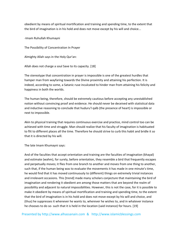obedient by means of spiritual mortification and training and spending time, to the extent that the bird of imagination is in his hold and does not move except by his will and choice...

‐Imam Ruhullah Khumayni

The Possibility of Concentration In Prayer

Almighty Allah says in the Holy Qur'an:

Allah does not charge a soul Save to its capacity. [18]

The stereotype that concentration in prayer is impossible is one of the greatest hurdles that hamper man from wayfaring towards the Divine proximity and attaining his perfection. It is indeed, according to some, a Satanic ruse inculcated to hinder man from attaining his felicity and happiness in both the worlds.

The human being, therefore, should be extremely cautious before accepting any unestablished notion without convincing proof and evidence. He should never be deceived with statistical data and inductive reasoning to conclude that huduru'l qalb (the presence of heart) is impossible or next to impossible.

Akin to physical training that requires continuous exercise and practice, mind control too can be achieved with time and struggle. Man should realize that his faculty of imagination is habituated to flit to different places all the time. Therefore he should strive to curb this habit and bridle it so that it is directed by his will.

The late Imam Khumayni says:

And of the faculties that accept orientation and training are the faculties of imagination (khayal) and estimate (wahm), for surely, before orientation, they resemble a bird that frequently escapes and perpetually moves; it flies from one branch to another and moves from one thing to another, such that, if the human being was to evaluate the movements it has made in one minute's time, he would find that it has moved continuously to (different) things on extremely trivial instances and irrelevant occasions. This [trend] made many scholars conjecture that maintaining the bird of imagination and rendering it obedient are among those matters that are beyond the realm of possibility and adjacent to natural impossibilities. However, this is not the case, for it is possible to make it obedient by means of spiritual mortification and training and spending time, to the extent that the bird of imagination is in his hold and does not move except by his will and choice, and (thus) he suppresses it whenever he wants to, wherever he wishes to, and in whatever instance he chooses to do so- such that it is held in the location (said instance) for hours. [19]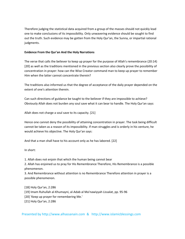Therefore judging the statistical data acquired from a group of the masses should not quickly lead one to make conclusions of its impossibility. Only unwavering evidence should be sought to find out the truth. Such evidence may be gotten from the Holy Qur'an, the Sunna, or impartial rational judgments.

# **Evidence From the Qur'an And the Holy Narrations**

The verse that calls the believer to keep up prayer for the purpose of Allah's remembrance (20:14) [20] as well as the traditions mentioned in the previous section also clearly prove the possibility of concentration in prayer: how can the Wise Creator command man to keep up prayer to remember Him when the latter cannot concentrate therein?

The traditions also informed us that the degree of acceptance of the daily prayer depended on the extent of one's attention therein.

Can such directions of guidance be taught to the believer if they are impossible to achieve? Obviously Allah does not burden any soul save what it can bear to handle. The Holy Qur'an says:

Allah does not charge a soul save to its capacity. [21]

Hence one cannot deny the possibility of attaining concentration in prayer. The task being difficult cannot be taken as a reason of its impossibility. If man struggles and is orderly in his venture, he would achieve his objective. The Holy Qur'an says:

And that a man shall have to his account only as he has labored. [22]

In short:

1. Allah does not enjoin that which the human being cannot bear

2. Allah has enjoined us to pray for His Remembrance Therefore, His Remembrance is a possible phenomenon.

3. And Remembrance without attention is no Remembrance Therefore attention in prayer is a possible phenomenon.

[18] Holy Qur'an, 2:286 [19] Imam Ruhullah al‐Khumayni, al‐Adab al Ma'nawiyyah Lissalat, pp. 95‐96 [20] 'Keep up prayer for remembering Me.' [21] Holy Qur'an, 2:286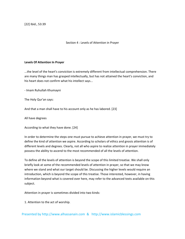[22] Ibid., 53:39

Section 4 : Levels of Attention in Prayer

# **Levels Of Attention In Prayer**

...the level of the heart's conviction is extremely different from intellectual comprehension. There are many things man has grasped intellectually, but has not attained the heart's conviction, and his heart does not confirm what his intellect says...

‐ Imam Ruhullah Khumayni

The Holy Qur'an says:

And that a man shall have to his account only as he has labored. [23]

All have degrees

According to what they have done. [24]

In order to determine the steps one must pursue to achieve attention in prayer, we must try to define the kind of attention we aspire. According to scholars of ethics and gnosis attention is of different levels and degrees. Clearly, not all who aspire to realize attention in prayer immediately possess the ability to ascend to the most recommended of all the levels of attention.

To define all the levels of attention is beyond the scope of this limited treatise. We shall only briefly look at some of the recommended levels of attention in prayer, so that we may know where we stand and what our target should be. Discussing the higher levels would require an introduction, which is beyond the scope of this treatise. Those interested, however, in having information beyond what is covered over here, may refer to the advanced texts available on this subject.

Attention in prayer is sometimes divided into two kinds:

1. Attention to the act of worship.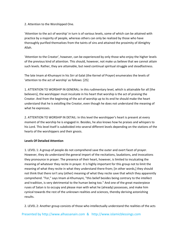2. Attention to the Worshipped One.

'Attention to the act of worship' in turn is of various levels, some of which can be attained with practice by a majority of people, whereas others can only be realized by those who have thoroughly purified themselves from the taints of sins and attained the proximity of Almighty Allah.

'Attention to the Creator', however, can be experienced by only those who enjoy the higher levels of the previous kind of attention. This should, however, not make us believe that we cannot attain such levels. Rather, they are attainable, but need continual spiritual struggle and steadfastness.

The late Imam al‐Khumayni in his Sirr al‐Salat (the Kernel of Prayer) enumerates the levels of 'attention to the act of worship' as follows: [25]

1. ATTENTION TO WORSHIP IN GENERAL: In this rudimentary level, which is attainable for all [the believers], the worshipper must inculcate in his heart that worship is the act of praising the Creator. And from the beginning of the act of worship up to its end he should make the heart understand that he is extolling the Creator, even though he does not understand the meaning of what he expresses.

2. ATTENTION TO WORSHIP IN DETAIL: In this level the worshipper's heart is present at every moment of the worship he is engaged in. Besides, he also knows how he praises and whispers to his Lord. This level itself is subdivided into several different levels depending on the stations of the hearts of the worshippers and their gnosis.

# **Levels Of Detailed Attention**

1. LEVEL 1: A group of people do not comprehend save the outer and overt facet of prayer. However, they do understand the general import of the recitations, laudations, and invocations they pronounce in prayer. The presence of their heart, however, is limited to inculcating the meaning of whatever they recite in prayer. It is highly important for this group not to limit the meaning of what they recite in what they understand there‐from; [in other words,] they should not think that there isn't any (other) meaning of what they recite save that which they apparently comprehend. "For," says Imam al‐Khumayni, "this belief besides being contrary to the intellect and tradition, is very detrimental to the human being too." And one of the great masterpiece ruses of Satan is to occupy and please man with what he (already) possesses, and make him cynical towards the rest of the unknown realities and sciences, thereby deriving astonishing results.

2. LEVEL 2: Another group consists of those who intellectually understand the realities of the acts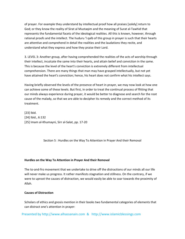of prayer. For example they understand by intellectual proof how all praises [solely] return to God; or they know the reality of Sirat al Mustaqim and the meaning of Surat al‐Tawhid that represents the fundamental facets of the ideological realities. All this is known, however, through rational proofs and the intellect. The huduru 'l qalb of this group in prayer is such that their hearts are attentive and comprehend in detail the realities and the laudations they recite, and understand what they express and how they praise their Lord.

3. LEVEL 3: Another group, after having comprehended the realities of the acts of worship through their intellect, inculcate the same into their hearts, and attain belief and conviction in the same. This is because the level of the heart's conviction is extremely different from intellectual comprehension. There are many things that man may have grasped intellectually, but not yet have attained the heart's conviction; hence, his heart does not confirm what his intellect says.

Having briefly observed the levels of the presence of heart in prayer, we may now look at how one can achieve some of these levels. But first, in order to treat the continual process of flitting that our minds always experience during prayer, it would be better to diagnose and search for the root cause of the malady, so that we are able to decipher its remedy and the correct method of its treatment.

[23] Ibid. [24] Ibid., 6:132 [25] Imam al‐Khumayni, Sirr al‐Salat, pp. 17‐20

Section 5 : Hurdles on the Way To Attention in Prayer And their Removal

# **Hurdles on the Way To Attention in Prayer And their Removal**

The to-and-fro movement that we undertake to drive off the distractions of our minds all our life will never make us progress. It rather manifests stagnation and stillness. On the contrary, if we were to uproot the causes of distraction, we would easily be able to soar towards the proximity of Allah.

# **Causes of Distraction**

Scholars of ethics and gnosis mention in their books two fundamental categories of elements that can distract one's attention in prayer: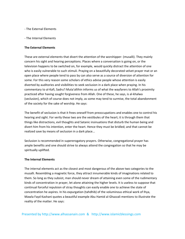- ‐ The External Elements
- ‐ The Internal Elements

# **The External Elements**

These are external elements that divert the attention of the worshipper‐ (musalli). They mainly concern his sight and hearing perceptions. Places where a conversation is going on, or the television happens to be switched on, for example, would quickly distract the attention of one who is easily vulnerable to such stimuli. Praying on a beautifully decorated velvet prayer mat or an open place where people tend to pass by can also serve as a source of diversion of attention for some. For this very reason some scholars of ethics advise people whose attention is easily diverted by auditories and visibilities to seek seclusion in a dark place when praying. In his commentary to al‐Kafi, Sadru'l Muta'allihin informs us of what the wayfarers to Allah's proximity practiced after having sought forgiveness from Allah. One of these, he says, is al‐khalwa (seclusion), which of course does not imply, as some may tend to surmise, the total abandonment of the society for the sake of worship. He says:

The benefit of seclusion is that it frees oneself from preoccupations and enables one to control his hearing and sight. For verily these two are the vestibules of the heart; it is through them that things like distractions, evil thoughts and Satanic insinuations that disturb the human being and divert him from his intention, enter the heart. Hence they must be bridled; and that cannot be realized save by means of seclusion in a dark place...

Seclusion is recommended in supererogatory prayers. Otherwise, congregational prayer has ample benefits and one should strive to always attend the congregation so that he may be spiritually uplifted.

# **The Internal Elements**

The internal elements act as the closest and most dangerous of the above two categories to the musalli. Resembling a magnetic force, they attract innumerable kinds of imaginations related to them. So long as they subsist, man should never dream of attaining even some of the rudimentary kinds of concentration in prayer, let alone attaining the higher levels. It is useless to suppose that continual forceful repulsion of stray thoughts can easily enable one to achieve the state of concentration he aspires. In his expurgation (tahdhib) of the voluminous ethical work of Ihya, Mawla Fayd Kashani quotes a beautiful example Abu Hamid al‐Ghazzali mentions to illustrate the reality of the matter. He says: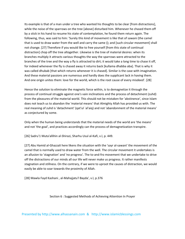Its example is that of a man under a tree who wanted his thoughts to be clear [from distractions], while the noise of the sparrows on the tree [above] disturbed him. Whenever he chased them off by a stick in his hand to resume his state of contemplation, he found them return again. The following, thus, was said to him: 'Surely this kind of movement is like that of sawani (the camel that is used to draw water from the well and carry the same (); and [such circular movement] shall not change. [27] Therefore if you would like to free yourself [from this state of continual distraction] chop off the tree altogether. Likewise is the tree of material desires: when its branches multiply it attracts various thoughts the way the sparrows were attracted to the branches of the tree and the way a fly is attracted to dirt; it would take a long time to chase it off, for indeed whenever the fly is chased away it returns back [kullama dhabba aba]. That is why it was called dhubab [that which returns whenever it is chased]. Similar is the case with imagination. And these material passions are numerous and hardly does the supplicant lack in having them. And one origin unites them: love for the world, which is the root cause of every misdeed'. [28]

Hence the solution to eliminate the magnetic force within, is to demagnetize it through the process of continual struggle against one's vain inclinations and the process of detachment (zuhd) from the pleasures of the material world. This should not be mistaken for 'abstinence', since Islam does not teach us to abandon the 'material means' that Almighty Allah has provided us with. The real meaning of zuhd is 'detachment' (qat'ul `al'aiq) and not 'abandonment of the material means' as conjectured by some.

Only when the human being understands that the material needs of the world are 'the means' and not 'the goal', and practices accordingly can the process of demagnetization transpire.

[26] Sadru'1 Muta'allihin al‐Shirazi, Sharhu Usul al‐Kafi, v.l, p. 449.

[27] Abu Hamid al‐Ghazzali here likens the situation with the 'sayr al‐sawani' the movement of the camel that is normally used to draw water from the well. The circular movement it undertakes is an allusion to 'stagnation' and 'no progress'. The to-and-fro movement that we undertake to drive off the distractions of our minds all our life will never make us progress. It rather manifests stagnation and stillness. On the contrary, if we were to uproot the causes of distraction, we would easily be able to soar towards the proximity of Allah.

[28] Mawla Fayd Kashani , al‐Mahajjatu'l Bayda', v.l, p.376

Section 6 : Suggested Methods of Achieving Attention In Prayer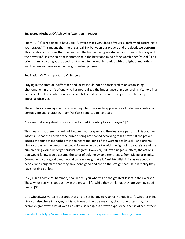# **Suggested Methods Of Achieving Attention In Prayer**

Imam 'Ali ('a) is reported to have said: "Beware that every deed of yours is performed according to your prayer." This means that there is a real link between our prayers and the deeds we perform. This tradition informs us that the deeds of the human being are shaped according to his prayer. If the prayer infuses the spirit of monotheism in the heart and mind of the worshipper (musalli) and orients him accordingly, the deeds that would follow would sparkle with the light of monotheism and the human being would undergo spiritual progress.

Realization Of The Importance Of Prayers:

Praying in the state of indifference and laxity should not be considered as an astonishing phenomenon in the life of one who has not realized the importance of prayer and its vital role in a believer's life. This contention needs no intellectual evidence, as it is crystal clear to every impartial observer.

The emphasis Islam lays on prayer is enough to drive one to appreciate its fundamental role in a person's life and character. Imam 'Ali (`a) is reported to have said:

"Beware that every deed of yours is performed According to your prayer." [29]

This means that there is a real link between our prayers and the deeds we perform. This tradition informs us that the deeds of the human being are shaped according to his prayer. If the prayer infuses the spirit of monotheism in the heart and mind of the worshipper (musalli) and orients him accordingly, the deeds that would follow would sparkle with the light of monotheism and the human being would undergo spiritual progress. However, if it lays a negative effect, the actions that would follow would assume the color of polytheism and remoteness from Divine proximity. Consequently our good deeds would carry no weight at all. Almighty Allah informs us about a people who conjecture that they have done good and are on the straight path, but in reality they have nothing but loss:

Say [O Our Apostle Muhammad] Shall we tell you who will be the greatest losers in their works? Those whose striving goes astray in the present life, while they think that they are working good deeds. [30]

One who always verbally declares that all praises belong to Allah (al‐Hamdu lilLah), whether in his qira'a or elsewhere in prayer, but is oblivious of the true meaning of what he utters may, for example, give away a lot of wealth as alms (sadaqa), but always experience a sense of self‐esteem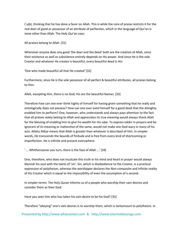(`ujb), thinking that he has done a favor on Allah. This is while the core of praise restricts it for the real doer of good or possessor of an attribute of perfection, which in the language of Qur'an is none other than Allah. The Holy Qur'an says:

All praises belong to Allah. [31]

Whenever anyone does any good 'the doer and the deed' both are the creation of Allah, since their existence as well as subsistence entirely depends on His power. And since He is the sole Creator and whatever He creates is beautiful, every beautiful deed is His:

'One who made beautiful all that He created' [32]

Furthermore, since He is the sole possessor of all perfect & beautiful attributes, all praises belong to Him:

Allah, excepting Him, there is no God; His are the beautiful Names. [33]

Therefore how can one ever think highly of himself for having given something that he really and ontologically does not possess? How can one ever extol himself for a good deed that the Almighty enabled him to perform? One, however, who understands and always pays attention to the fact that all praises solely belong to Allah and appreciates its true meaning would always thank Allah for the blessing of enabling him to give his wealth for His sake. To express takbir in prayers and be ignorant of its meaning or inattentive of the same, would not make one God-wary in many of his acts. Allahu Akbar means that Allah is greater than whatever is described of Him. In simpler words, He transcends the bounds of finitude and is free from every kind of shortcoming or imperfection. He is Infinite and present everywhere:

' ... Whithersoever you turn, there is the face of Allah ...' [34]

One, therefore, who does not inculcate this truth in his mind and heart in prayer would always blemish his soul with the taints of 'sin'. Sin, which is disobedience to the Creator, is a practical expression of polytheism, whereas the worshipper declares the Non-composite and Infinite reality of His Creator which is equal to the impossibility of even the assumption of a second.

In simpler terms: The Holy Quran informs us of a people who worship their vain desires and consider them as their God:

Have you seen him who has taken his vain desire to be his God? [35]

Therefore "obeying" one's vain desires is to worship them, which is tantamount to polytheism. In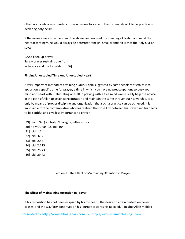other words whosoever prefers his vain desires to some of the commands of Allah is practically declaring polytheism.

If the musulli were to understand the above, and realized the meaning of takbir, and mold the heart accordingly, he would always be deterred from sin. Small wonder it is that the Holy Qur'an says:

...And keep up prayer; Surely prayer restrains one from indecency and the forbidden... [36]

# **Finding Unoccupied Time And Unoccupied Heart**

A very important method of attaining huduru'l qalb suggested by some scholars of ethics is to apportion a specific time for prayer, a time in which you have no preoccupations to busy your mind and heart with. Habituating oneself in praying with a free mind would really help the novice in the path of Allah to attain concentration and maintain the same throughout his worship. It is only by means of proper discipline and organization that such a practice can be achieved. It is impossible for the contemplative who has realized the close link between his prayer and his deeds to be slothful and give less importance to prayer.

[29] Imam 'Ali (`a), Nahju'l Balagha, letter no. 27 [30] Holy Qur'an, 18:103‐104 [31] Ibid, 1:2 [32] Ibid, 32:7 [33] Ibid, 20:8 [34] Ibid, 2:115 [35] Ibid, 25:43 [36] Ibid, 29:43

Section 7 : The Effect of Maintaining Attention in Prayer

# **The Effect of Maintaining Attention In Prayer**

If his disposition has not been eclipsed by his misdeeds, the desire to attain perfection never ceases, and the wayfarer continues on his journey towards his Beloved. Almighty Allah molded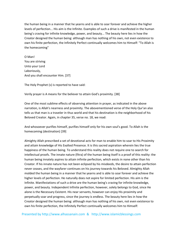the human being in a manner that he yearns and is able to soar forever and achieve the higher levels of perfection... His aim is the Infinite. Examples of such a drive is manifested in the human being's craving for infinite knowledge, power, and beauty... The beauty here lies in how the Creator designed the human being: although man has nothing of his own, not even existence to own his finite perfection, the Infinitely Perfect continually welcomes him to Himself: "To Allah is the homecoming"

O Man! You are striving Unto your Lord Laboriously, And you shall encounter Him. [37]

The Holy Prophet (s) is reported to have said:

Verily prayer is A means for the believer to attain God's proximity. [38]

One of the most sublime effects of observing attention in prayer, as indicated in the above narration, is Allah's nearness and proximity. The abovementioned verse of the Holy Qur'an also tells us that man is a traveler in thus world and that his destination is the neighborhood of his Beloved Creator. Again, in chapter 35, verse no. 18, we read:

And whosoever purifies himself, purifies himself only for his own soul's good. To Allah is the homecoming (destination) [39]

Almighty Allah prescribed a set of devotional acts for man to enable him to soar to His Proximity and attain knowledge of His Exalted Presence. It is this sacred aspiration wherein lies the true happiness of the human being. To understand this reality does not require one to search for intellectual proofs. The innate nature (fitra) of the human being itself is a proof of this reality: the human being innately aspires to attain infinite perfection, which exists in none other than his Creator. If his innate nature has not been eclipsed by his misdeeds, the desire to attain perfection never ceases, and the wayfarer continues on his journey towards his Beloved. Almighty Allah molded the human being in a manner that he yearns and is able to soar forever and achieve the higher levels of perfection. He naturally does not aspire for limited perfection. His aim is the Infinite. Manifestations of such a drive are the human being's craving for infinite knowledge, power, and beauty. Independent Infinite perfection, however, solely belongs to God, since He alone is the Necessary Existent. His near servants, however can enjoy His proximity and perpetually soar and progress, since the journey is endless. The beauty here lies in how the Creator designed the human being: although man has nothing of his own, not even existence to own his finite perfection, the Infinitely Perfect continually welcomes him to Himself: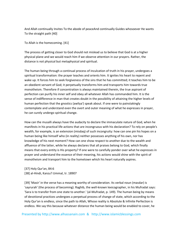And Allah continually Invites To the abode of peaceAnd continually Guides whosoever He wants To the straight path [40]

To Allah is the homecoming. [41]

The process of getting closer to God should not mislead us to believe that God is at a higher physical plane and we would reach him if we observe attention in our prayers. Rather, the distance is not physical but metaphysical and spiritual.

The human being through a continual process of inculcation of truth in his prayer, undergoes a spiritual transformation: the prayer teaches and orients him. It ignites his heart to repent and wake up. It forces him to seek forgiveness of the sins that he has committed; it teaches him to be an obedient servant of God; it perpetually transforms him and transports him towards true monotheism. Therefore if concentration is always maintained therein, the true aspirant of perfection can purify his inner self and obey all whatever Allah has commanded him. It is the sense of indifference in man that creates doubt in the possibility of attaining the higher levels of human perfection that the gnostics (awliya') speak about. If one were to painstakingly contemplate and understand even the overt and outer meaning of what he expresses in prayer, he can surely undergo spiritual change.

How can the musalli always have the audacity to declare the immaculate nature of God, when he manifests in his practical life actions that are incongruous with his declaration? To rely on people's wealth, for example, is an extension (misdaq) of such incongruity: how can one pin his hopes on a human being like himself who (in reality) neither possesses anything of his own, nor has knowledge of his next moment? How can one show respect to another due to the wealth and affluence of the latter, while he always declares that all praises belong to God, which finally means that every entity is His property? If one were to carefully ponder over what he expresses in prayer and understand the essence of their meaning, his actions would shine with the spirit of monotheism and transport him to the hometown which his heart naturally aspires.

[37] Holy Qur'an, 84:6 [38] al‐Hindi, Kanzu'l Ummal, tr. 18907

[39] 'Masir' in the verse has a meaning worthy of consideration. Its verbal noun (masdar) is 'sayrurah' (the process of becoming). Raghib, the well‐known lexicographer, in his Mufradat says: 'Sara is to transfer from one state to another.' (al‐Mufradat, p. 149). The human being by means of devotional practices undergoes a perpetual process of change of state, which according to the Holy Qur'an is endless, since the path to Allah, Whose reality is Absolute & Infinite Perfection is endless. We say this because whatever distance the human being would be enabled to cover, he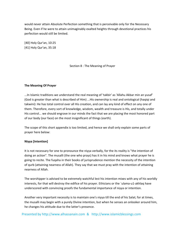would never attain Absolute Perfection something that is perceivable only for the Necessary Being. Even if he were to attain unimaginably exalted heights through devotional practices his perfection would still be limited.

[40] Holy Qur'an, 10:25 [41] Holy Qur'an, 35:18

Section 8 : The Meaning of Prayer

# **The Meaning Of Prayer**

...In Islamic traditions we understand the real meaning of 'takbir' as 'Allahu Akbar min an yusaf' (God is greater than what is described of Him) ...His ownership is real and ontological (haqiqi and takwini): He has total control over all His creation, and can lay any kind of effect on any one of them. Therefore, every sort of knowledge, wisdom, wealth and treasure is His, and totally under His control... we should engrave in our minds the fact that we are placing the most honored part of our body (our face) on the most insignificant of things (earth).

The scope of this short appendix is too limited, and hence we shall only explain some parts of prayer here below:

# **Niyya [Intention]**

It is not necessary for one to pronounce the niyya verbally, for the its reality is "the intention of doing an action". The musalli (the one who prays) has it in his mind and knows what prayer he is going to recite. The fuqaha in their books of jurisprudence mention the necessity of the intention of qurb (attaining nearness of Allah). They say that we must pray with the intention of attaining nearness of Allah.

The worshipper is advised to be extremely watchful lest his intention mixes with any of his worldly interests, for that will destroy the edifice of his prayer. Ethicians or the `ulama‐u1‐akhlaq have underscored with convincing proofs the fundamental importance of niyya or intention.

Another very important necessity is to maintain one's niyya till the end of his Salat; for at times, the musalli may begin with a purely Divine intention, but when he senses an onlooker around him, he changes his attitude due to the latter's presence.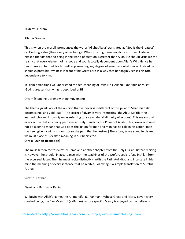# Takbiratul Ihram

# Allah is Greater

This is when the musalli pronounces the words 'Allahu Akbar' translated as `God is the Greatest' or `God is greater (than every other being)'. When uttering these words he must inculcate in himself the fact that no being in the world of creation is greater than Allah. He should visualize the reality that every element of his body and soul is totally dependent upon Allah's Will. Hence he has no reason to think for himself as possessing any degree of greatness whatsoever. Instead he should express his lowliness in front of his Great Lord in a way that he tangibly senses his total dependence to Him.

In Islamic traditions we understand the real meaning of 'takbir' as 'Allahu Akbar min an yusaf' (God is greater than what is described of Him).

Qiyam [Standing Upright with no movements]

The Islamic jurists are of the opinion that whoever is indifferent of this pillar of Salat, his Salat becomes null and void (batil). The secret of qiyam is very interesting: the Ahlul Ma'rifa (the learned scholars) know qiyam as referring to al‐tawhidul af'ali (unity of actions). This means that every action that any being performs entirely stands by the Power of Allah. [This however should not be taken to mean that God does the action for man and man has no role in his action; man has been given a will and can choose the path that he desires.] Therefore, as we stand in qiyam, we must place this exalted meaning in our hearts too.

# **Qira'a [Qur'an‐Recitation]**

The musalli then recites Suratu'l Hamd and another chapter from the Holy Qur'an. Before reciting it, however, he should, in accordance with the teachings of the Qur'an, seek refuge in Allah from the accursed Satan. Then he must recite distinctly (tartil) the Fatihatul Kitab and inculcate in his mind the meaning of every sentence that he recites. Following is a simple translation of Suratul Fatiha:

Suratu' l Fatihah

Bismillahir Rahmanir Rahim

1. I begin with Allah's Name, the All‐merciful (al‐Rahman), Whose Grace and Mercy cover every created being, the Ever‐Merciful (al‐Rahim), whose specific Mercy is enjoyed by the believers.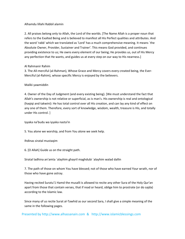# Alhamdu lillahi Rabbil alamin

2. All praises belong only to Allah, the Lord of the worlds. [The Name Allah is a proper noun that refers to the Exalted Being and is believed to manifest all His Perfect qualities and attributes. And the word 'rabb' which we translated as 'Lord' has a much comprehensive meaning. It means `the Absolute Owner, Provider, Sustainer and Trainer'. This means God provided, and continues providing existence to us; He owns every element of our being; He provides us, out of His Mercy any perfection that He wants, and guides us at every step on our way to His nearness.]

# Al Rahmanir Rahim

3. The All‐merciful (al‐Rahman), Whose Grace and Mercy covers every created being, the Ever‐ Merciful (al‐Rahim), whose specific Mercy is enjoyed by the believers.

# Maliki yawmiddin

4. Owner of the Day of Judgment (and every existing being). [We must understand the fact that Allah's ownership is not relative or superficial, as is man's. His ownership is real and ontological (haqiqi and takwini): He has total control over all His creation, and can lay any kind of effect on any one of them. Therefore, every sort of knowledge, wisdom, wealth, treasure is His, and totally under His control. ]

Iyyaka na'budu wa iyyaka nasta'in

5. You alone we worship, and from You alone we seek help.

Ihdinas siratal mustaqim

6. [O Allah] Guide us on the straight path.

Siratal ladhina an'amta `alayhim ghayril maghdubi `alayhim walad dallin

7. The path of those on whom You have blessed; not of those who have earned Your wrath, nor of those who have gone astray.

Having recited Suratu'1 Hamd the musalli is allowed to recite any other Sura of the Holy Qur'an apart from those that contain verses, that if read or heard, oblige him to prostrate (or do sajda) according to the Islamic law.

Since many of us recite Surat al‐Tawhid as our second Sara, I shall give a simple meaning of the same in the following pages.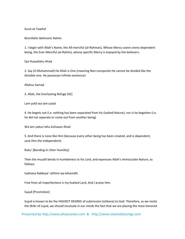Surat at‐Tawhid

Bismillahir Bahmanir Rahim

1. I begin with Allah's Name, the All‐merciful (al‐Rahman), Whose Mercy covers every dependent being, the Ever‐Merciful (al‐Rahim), whose specific Mercy is enjoyed by the believers.

Qul Huwallahu Ahad

2. Say (O Muhammad) He Allah is One (meaning Non‐composite He cannot be divided like the divisible one. He possesses Infinite existence)

Allahus Samad

3. Allah, the Everlasting Refuge [42]

Lam yalid wa lam yulad

4. He begets not (i.e. nothing has been separated from his Exalted Nature), nor is he begotten (i.e. he did not separate or come out from another being)

Wa lam yakun lahu kufuwan Ahad

5. And there is none like Him (because every other being has been created, and is dependent, save Him the Independent).

Ruku' [Bending In Utter Humility]

Then the musalli bends in humbleness to his Lord, and expresses Allah's Immaculate Nature, as follows:

Subhana Rabbiyal `aDhimi wa bihamdih

Free from all imperfections is my Exalted Lord, And I praise Him.

Sujud [Prostration]

Sujud is known to be the HIGHEST DEGREE of submission (istikana) to God. Therefore, as we recite the dhikr of sujud, we should inculcate in our minds the fact that we are placing the most honored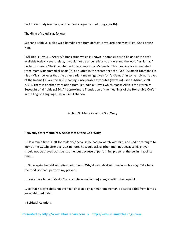part of our body (our face) on the most insignificant of things (earth).

The dhikr of sujud is as follows:

Subhana Rabbiyal a`alaa wa bihamdih Free from defects is my Lord, the Most High, And I praise Him.

[42] This is Arthur J. Arberry's translation which is known in some circles to be one of the best available today. Nevertheless, it would not be unbeneficial to understand the word "as‐Samad" better. Its means 'the One Intended to accomplish one's needs.' This meaning is also narrated from Imam Muhammad al‐Baqir (`a) as quoted in the sacred text of al‐Kafi. `Allamah Tabataba'i in his al-Mizan believes that the other variant meanings given for "al-Samad" in some holy narratives of the Imams (`a) are the said meaning's inseparable attributes (lawazim) ‐ see al‐Mizan, v.20, p.391. There is another translation from `Izzuddin al‐Hayek which reads: 'Allah is the Eternally Besought of all.' vide p.954, An approximate Translation of the meanings of the Honorable Qur'an in the English Language, Dar al‐Fikr, Lebanon.

Section 9 : Memoirs of the God Wary

# **Heavenly Stars Memoirs & Anecdotes Of the God‐Wary**

...'How much time is left for midday?,' because he had no watch with him, and had no strength to look at the watch; after every 15 minutes he would ask us (the time), not because his prayer should not be prayed outside its time, but because of performing prayer at the beginning of its time ...

... Once again, he said with disappointment: 'Why do you deal with me in such a way. Take back the food, so that I perform my prayer.'

... I only have hope of God's Grace and have no [action] at my credit to be hopeful .

... so that his eyes does not even fall once at a ghayr mahram woman. I observed this from him as an established habit...

I: Spiritual Ablutions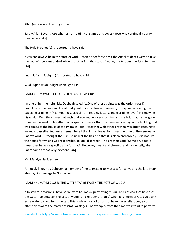Allah (swt) says in the Holy Qur'an:

Surely Allah Loves those who turn unto Him constantly and Loves those who continually purify themselves. [43]

The Holy Prophet (s) is reported to have said:

If you can always be in the state of wudu', than do so; for verily if the Angel of death were to take the soul of a servant of God while the latter is in the state of wudu, martyrdom is written for him. [44]

Imam Jafar al-Sadiq (`a) is reported to have said:

Wudu upon wudu is light upon light. [45]

IMAM KHUMAYNI REGULARLY RENEWS HIS WUDU'

[In one of her memoirs, Ms. Dabbagh says:] "...One of these points was the orderliness & discipline of the personal life of that great man [i.e. Imam Khumayni]: discipline in reading the papers, discipline in [his] meetings, discipline in reading letters, and discipline (even) in renewing his wudu'. Definitely it was not such that you suddenly ask for him, and are told that he has gone to renew his wudu'. He rather had a specific time for that. I remember one day in the building that was opposite the house of the Imam in Paris, I together with other brothers was busy listening to an audio cassette. Suddenly I remembered that I must leave, for it was the time of the renewal of Imam's wudu'. I thought that I must inspect the basin so that it is clean and orderly. I did not like the house for which I was responsible, to look disorderly. The brothers said, 'Come on, does it mean that he has a specific time for that?' However, I went and cleaned, and incidentally, the Imam came at that very moment. [46]

# Ms. Marziye Hadidechee

Famously known as Dabbagh: a member of the team sent to Moscow for conveying the late Imam Khumayni's message to Gorbachev.

# IMAM KHUMAYNI CLOSES THE WATER TAP BETWEEN THE ACTS OF WUDU'

"On several occasions I have seen Imam Khumayni performing wudu', and noticed that he closes the water tap between the acts of wudu', and re‐opens it (only) when it is necessary, to avoid any extra water to flow from the tap. This is while most of us do not have the smallest degree of attention toward the matter of israf (wastage). For example, from the time we intend to perform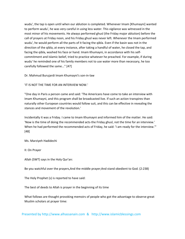wudu', the tap is open until when our ablution is completed. Whenever Imam [Khumayni] wanted to perform wudu', he was very careful in using less water. This vigilance was witnessed in the most minor of his movements. He always performed ghusl (the Friday major ablution) before the call of prayers at Friday noon, and his Friday ghusl was never left. Whenever the Imam performed wudu', he would perform all the parts of it facing the qibla. Even if the basin was not in the direction of the qibla, at every instance, after taking a handful of water, he closed the tap, and facing the qibla, washed his face or hand. Imam Khumayni, in accordance with his self‐ commitment and Islamic belief, tried to practice whatever he preached. For example, if during wudu' he reminded one of his family members not to use water more than necessary, he too carefully followed the same..." [47]

Dr. Mahmud Burujardi Imam Khumayni's son‐in‐law

'IT IS NOT THE TIME FOR AN INTERVIEW NOW.'

"One day in Paris a person came and said: 'The Americans have come to take an interview with Imam Khumayni, and this program shall be broadcasted live. If such an action transpires than naturally other European countries would follow suit, and this can be effective in revealing the stances and movement of the revolution.'

Incidentally it was a Friday. I came to Imam Khumayni and informed him of the matter. He said: 'Now is the time of doing the recommended acts-the Friday ghusl, not the time for an interview.' When he had performed the recommended acts of Friday, he said: 'I am ready for the interview.'" [48]

Ms. Marziyeh Hadidechi

II: On Prayer

Allah (SWT) says in the Holy Qur'an:

Be you watchful over the prayers,And the middle prayer;And stand obedient to God. (2:238)

The Holy Prophet (s) is reported to have said:

The best of deeds to Allah is prayer in the beginning of its time

What follows are thought provoking memoirs of people who got the advantage to observe great Muslim scholars at prayer time: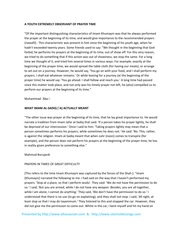# **A YOUTH EXTREMELY OBSERVANT OF PRAYER TIME**

"Of the important distinguishing characteristics of Imam Khumayni was that he always performed the prayer at the beginning of its time, and would give importance to the recommended prayers (nawafil) . This characteristic was present in him since the beginning of his youth age, when he hadn't exceeded twenty years. Some friends used to say: "We thought in the beginning that God forbid, he performs his prayers at the beginning of its time, out of show off. For this very reason, we tried to do something that if this action was out of showiness, we stop the same. For a long time we thought of it, and tried him several times in various ways. For example, exactly at the beginning of the prayer time, we would spread the table cloth (for having our meals); or arrange to set out on a journey. However, he would say, 'You go on with your food, and I shall perform my prayers. I shall eat whatever remains.' Or while leaving for a journey (at the beginning of the prayer time) he would say: 'You go ahead. I shall follow and reach you.' A long time had passed since this matter took place, and not only was his timely prayer not left, he (also) compelled us to perform our prayers at the beginning of its time."

Muhammad `Aba i

# **WHAT IMAM AL‐SADIQ (`A) ACTUALLY MEANT**

"The other issue was prayer at the beginning of its time, that he lay great importance to. He would narrate a tradition from Imam Jafar al‐Sadiq that said: 'If a person takes his prayer lightly, he shall be deprived of our intercession.' Once I said to him: 'Taking prayers lightly may mean that a person sometimes performs his prayers, while sometimes he does not.' He said: 'No. This, rather, is against the religion. Imam al‐Sadiq meant that when zuhr (noon) comes to transpire (for example), and the person does not perform his prayers at the beginning of the prayer time, he has in reality given preference to something else."

# Mahmud Burujardi

# PRAYERS IN TIMES OF GREAT DIFFICULTY

[This refers to the time Imam Khumayni was captured by the forces of the Shah.]: "Imam [Khumayni] narrated the following to me: I had said on the way that I haven't performed my prayers. 'Stop at a place, so that I perform wudu'. They said: 'We do not have the permission to do so.' I said, 'But you are armed, while I do not have any weapon. Besides, you are all together, while I am alone; I cannot do anything.' They said, 'We don't have the permission to do so.' I understood that there is no use (to go on explaining), and they shall not stop. I said, 'All right, at least stop so that I may do tayammum.' They listened to this and stopped the car. However, they did not give me the permission to come out. Whilst in the car, I bent myself and hit my hand on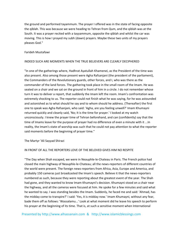the ground and performed tayammum. The prayer I offered was in the state of facing opposite the qiblah. This was because we were heading to Tehran from Qum, and the qiblah was at the South. It was a prayer recited with a tayyammum, opposite the qiblah and whilst the car was moving. This is how I prayed my subh (dawn) prayers. Maybe these two units of my prayers pleases God."

# Farideh Mustafawi

#### INDEED SUCH ARE MOMENTS WHEN THE TRUE BELIEVERS ARE CLEARLY DECIPHERED

"In one of the gatherings where, Hadhrat Ayatullah Khamenei, as the President of the time was also present. Also among those present were Agha Rafsanjani (the president of the parliament), the Commanders of the Revolutionary guards, other forces, and I, who was there as the commander of the land forces. The gathering took place in the small room of the Imam. He was seated on a chair and we sat on the ground in front of him in a circle. I do not remember whose turn it was to deliver a report, that suddenly the Imam left the room. Imam's confrontation was extremely shocking to us. The reporter could not finish what he was saying, for he was astounded and astonished as to what should he say and to whom should he address. (Thereafter) the first one to speak was Agha Rafsanjani, who said: 'Agha, are you feeling unwell?' Imam Khumayni returned quickly and cleanly said, 'No; It is the time for prayer.' I looked at my watch unconsciously. I knew the prayer time of Tehran beforehand, and can (confidently) say that the time of Imams leave for the purpose of prayer had no difference of even a minute with it ...In reality, the Imam's state of worship was such that he could not pay attention to what the reporter said moments before the beginning of prayer time."

#### The Martyr 'Ali Sayyad Shirazi

#### IN FRONT OF ALL THE REPORTERS LOVE OF THE BELOVED GIVES HIM NO RESPITE

"The Day when Shah escaped, we were in Neauphle‐le‐Chateau in Paris. The French police had closed the main highway of Neauphle‐le‐Chateau; all the news‐reporters of different countries of the world were present. The foreign news‐reporters from Africa, Asia, Europe and America, and probably 150 cameras just broadcasted the Imam's speech. Believe it that the news‐reporters numbered as such, because they were reporting about the greatest event of the year. The Shah had gone, and they wanted to know Imam Khumayni's decision. Khumayni stood on a chair near the highway, and all the cameras were focused at him. He spoke for a few minutes and said what he wanted to say. I was standing besides the Imam. Suddenly, he faced me and said: 'Ahmad, has the midday come to transpire?' I said: 'Yes, it is midday now.' Imam Khumayni, without any fear, bade them off as follows: 'Wassalamu...' Look at what moment did he leave his speech to perform his prayer at the beginning of its time. That is, at such a sensitive moment when International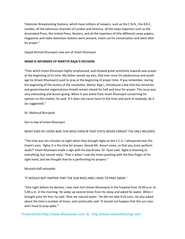Television Broadcasting Stations, which have millions of viewers, such as the C.N.N., the B.B.C. London, all the television channels of London and America, all the news-reporters such as the Associated Press, the United Press, Reuters, and all the reporters of (the different) news‐papers, magazines and radio‐television stations were present, Imam cut his conversation and went after his prayer."

Sayyid Ahmad Khumayni Late son of Imam Khumayni

# **IMAM IS INFORMED OF MARTYR RAjAI'S DECISION**

"That which Imam Khumayni highly emphasized, and showed great sensitivity towards was prayer at the beginning of its time. My father would say also, that ever since his adolescence and youth age he (Imam Khumayni) used to pray at the beginning of prayer time. If you remember, during the beginning of the victory of the revolution, Martyr Raja i, introduced a law that the ministries and governmental organizations should remain closed for half and hour for prayer. This issue was very interesting and lesson‐giving. When it was asked from Imam Khumayni concerning his opinion on this matter, he said: 'If it does not cause harm to the time and work of anybody, do it (as suggested)."

# Dr. Mahmud Burujardi

Son‐in‐law of Imam Khumayni

# WHAT KIND OF LOVER WAS THIS WHO EVEN IN THAT STATE NEVER FORGOT THE ONLY BELOVED

"The time was ten minutes to eight when they brought Agha to the C.C.U. I whispered near the Imam's ears: 'Agha, it is the time for prayer; should Mr. Ansari come, so that you (can) perform wudu?' Imam Khumayni made a sign with his eye-brows. Dr. Ilyasi said: 'Agha is listening to everything, but cannot reply.' That is when I saw the Imam pointing with the fore‐finger of his right hand, and we thought that he is performing his prayers."

# Mustafa Kaff‐ashzadeh

# 'IT SHOULD NOT HAPPEN THAT THE SUN RISES AND I HAVE TO PRAY QADA'.'

"One night before his demise, I was near him (Imam Khumayni) in the hospital from 10.00 p.m. to 5.00 a.m. in the morning. He woke up several times from his sleep and asked for water. When I brought juice for him, he said: 'Give me natural water.' He did not take fruit juice. He also asked about the time a number of times; and continually said: 'It should not happen that the sun rises and I have to pray qada."'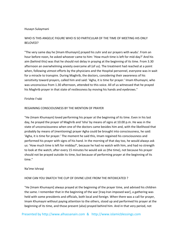# Husayn Sulaymani

# WHO IS THIS ANGELIC FIGURE WHO IS SO PARTICULAR OF THE TIME OF MEETING HIS ONLY BELOVED?

"The very same day he [Imam Khumayni] prayed his zuhr and asr prayers with wudu'. From an hour before noon, he asked whoever came to him: 'How much time is left for mid-day?' And his aim (behind this) was that he should not delay in praying at the beginning of its time. From 3.30 afternoon an overwhelming anxiety overcame all (of us). The treatment had reached at a point when, following utmost efforts by the physicians and the Hospital personnel, everyone was in wait for a miracle to transpire. During Maghrib, the doctors, considering their awareness of his sensitivity toward prayers, called him and said: 'Agha, it is time for prayer.' Imam Khumayni, who was unconscious from 1.30 afternoon, attended to this voice. All of us witnessed that he prayed his Maghrib prayer in that state of restlessness by moving his hands and eyebrows."

# Firishte I'rabi

# REGAINING CONSCIOUSNESS BY THE MENTION OF PRAYER

"He (Imam Khumayni) loved performing his prayer at the beginning of its time. Even in his last day, he prayed the prayer of Maghrib and 'Isha' by means of signs at 10.00 p.m. He was in the state of unconsciousness when one of the doctors came besides him and, with the likelihood that probably by means of (mentioning) prayer Agha could be brought into consciousness, he said: 'Agha, it is time for prayer.' The moment he said this, Imam regained his consciousness and performed his prayer with signs of his hand. In the morning of that day too, he would always ask us: 'How much time is left for midday?', because he had no watch with him, and had no strength to look at the watch; after every 15 minutes he would ask us (the time), not because his prayer should not be prayed outside its time, but because of performing prayer at the beginning of its time."

# Na'ime Ishraqi

# HOW CAN YOU SNATCH THE CUP OF DIVINE LOVE FROM THE INTOXICATED ?

"He [Imam Khumayni] always prayed at the beginning of the prayer time, and advised his children the same. I remember that in the beginning of the war [Iraq-Iran imposed war], a gathering was held with some presidents and officials, both local and foreign. When there was a call for prayer, Imam Khumayni without paying attention to the others, stood up and performed his prayer at the beginning of its time, and those present (also) prayed behind him. And in that very period, not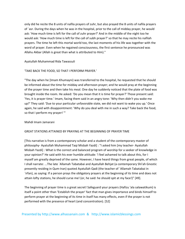only did he recite the 8 units of nafila prayers of zuhr, but also prayed the 8 units of nafila prayers of `asr. During the days when he was in the hospital, prior to the call of midday prayer, he would ask: 'How much time is left for the call of zuhr prayer?' And in the middle of the night too he would ask: 'How much time is left for the call of subh prayer?' so that he may recite his nafilah prayers. The time he left this mortal world too, the last moments of his life was together with the word of prayer. Even when he regained consciousness, the first sentence he pronounced was Allahu Akbar (Allah is great than what is attributed to Him)."

Ayatullah Muhammad Rida Tawassuli

# 'TAKE BACK THE FOOD, SO THAT I PERFORM PRAYER.'

"The day when he [Imam Khumayni) was transferred to the hospital, he requested that he should be informed about the time for midday and afternoon prayer; and he would pray at the beginning of the prayer time and then take his meal. One day he suddenly noticed that the plate of food was brought inside the room. He asked: 'Do you mean that it is time for prayer?' Those present said: 'Yes, it is prayer time.' Imam, facing them said in an angry tone: 'Why then didn't you wake me up?' They said: 'Due to your particular unfavorable state, we did not want to wake you up.' Once again, he said with disappointment: 'Why do you deal with me in such a way? Take back the food, so that I perform my prayer! "'

# Mahdi Imam Jamarani

# GREAT STATIONS ATTAINED BY PRAYING AT THE BEGINNING OF PRAYER TIME

[This narrative is from a contemporary scholar and a student of the contemporary master of philosophy‐ Ayatullah Muhammad Taqi Misbah Yazdi] : "I asked him [my teacher‐ Ayatullah Misbah Yazdi] : What is the correct and balanced program of worship for a seeker of knowledge in your opinion?' He said with his ever humble attitude: 'I feel ashamed to talk about this, for I myself am greatly deprived of the same. However, I have heard things from great people, of which I shall narrate: ...The late `Allamah Tabatabai and Ayatullah Behjat (a contemporary Shi'ah Gnostic presently residing in Qum‐Iran) quoted Ayatullah Qadi (the teacher of `Allamah Tabatabai in `irfan), as saying: If a person prays the obligatory prayers at the beginning of its time and does not attain lofty stations, he should curse me! (or, he said: he should spit at my face!)" [49].

The beginning of prayer time is a great secret! Safeguard your prayers (Hafizu 'ala salawatikum) is itself a point other than 'Establish the prayer' fact that man gives importance and binds himself to perform prayer at the beginning of its time in itself has many effects, even if the prayer is not performed with the presence of heart (and concentration). [52]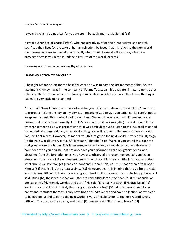# Shaykh Muhsin Gharawiyyan

I swear by Allah, I do not fear for you except in barzakh Imam al‐Sadiq (`a) [53]

If great authorities of gnosis (`irfan), who had already purified their inner selves and entirely sacrificed their lives for the sake of human salvation, believed that migration to the next world‐ the intermediate realm (barzakh) is difficult, what should those like the author, who have drowned themselves in the mundane pleasures of the world, express?

Following are some narratives worthy of reflection.

# **I HAVE NO ACTION TO MY CREDIT**

[The night before he left for the hospital where he was to pass the last moments of his life, the late Imam Khumayni was in the company of Fatima Tabatabai - his daughter-in-law - among other relatives. The latter narrates the following conversation, which took place after Imam Khumayni had eaten very little of his dinner:]

"Imam said: 'Now I have one or two advices for you: I shall not return. However, I don't want you to express grief and anxiety on my demise. I am asking God to give you patience. Be careful not to weep and lament. This is what I had to say.' I and Khanum (the wife of Imam Khumayni) were present; I do not recollect exactly; I think Zahra Khanum Ishraqi was (also) present. I don't know whether someone else was present or not. It was difficult for us to listen to this issue; all of us had turned sad. Khanum said: 'No, Agha, God Willing, you will recover...' He [Imam Khumayni] said: 'No, I will not return. However, let me tell you this: to go [to the next world] is very difficult; to go [to the next world] is very difficult.' I [Fatimah Tabatabai] said: 'Agha, If you say all this, then we shall greatly lose our hopes. This is because, as far as I know, although I am young, those who have been with you narrate that not only have you performed all the obligatory deeds, and abstained from the forbidden ones, you have also observed the recommended acts and even abstained from most of the unpleasant deeds (makruhat). If it is really difficult for you also, then what should we say? We get greatly despondent'. He said: 'No, you must not despair from God's Mercy; [54] this itself is the greatest sin ... [55] However, bear this in mind that to go [to the next world] is very difficult; I do not have any [good] deed, so that I should want to be happy thereby.' I said: 'But Agha, these words that you utter are very difficult for us to bear, for if it is as such, we are extremely frightened, worried and upset.' He said: 'It is really as such. If Hadrat Sajjad [`a] wept and said: "O Lord it is likely that my good deeds are bad" [56], do I possess a deed to get happy and confident thereby? I only have hope of God's Graces and have no [action] at my credit to be hopeful...; and to go [to the next world] is very difficult; to go [to the next world] is very difficult.' The doctors then came, and Imam [Khumayni] said: 'It is time to leave.' [58]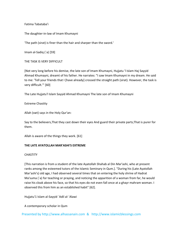Fatima Tabataba'i

The daughter‐in‐law of Imam Khumayni

'The path (sirat) is finer than the hair and sharper than the sword.'

Imam al‐Sadiq (`a) [59]

THE TASK IS VERY DIFFICULT

[Not very long before his demise, the late son of Imam Khumayni, Hujjatu 'l Islam Haj Sayyid Ahmad Khumayni, dreamt of his father. He narrates: "I saw Imam Khumayni in my dream. He said to me: 'Tell your friends that I [have already] crossed the straight path (sirat). However, the task is very difficult.'" [60]

The Late Hujjatu'l Islam Sayyid Ahmad Khumayni The late son of Imam Khumayni

Extreme Chastity

Allah (swt) says in the Holy Qur'an:

Say to the believers,That they cast down their eyes And guard their private parts;That is purer for them.

Allah is aware of the things they work. [61]

# **THE LATE AYATOLLAH MAR'ASHI'S EXTREME**

# CHASTITY

[This narration is from a student of the late Ayatollah Shahab al Din Mar'ashi, who at present ranks among the esteemed tutors of the Islamic Seminary in Qum.]. "During his (Late Ayatollah Mar'ashi's) old age, I had observed several times that on entering the holy shrine of Hadrat Ma'suma (`a) for teaching or praying, and noticing the apparition of a woman from far, he would raise his cloak above his face, so that his eyes do not even fall once at a ghayr mahram woman. I observed this from him as an established habit" [62].

Hujjatu'1 Islam al‐Sayyid `Adil al‐`Alawi

A contemporary scholar in Qum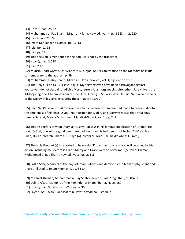[43] Holy Qur'an, 2:222

[44] Muhammad al‐Ray Shahri, Mizan al‐Hikma, New ed., vol. 4, pg. 3563, tr. 21920

[45] Ibid, tr. no. 21924

[46] Imam Dar Sangar‐e Namaz, pp. 12‐13

[47] Ibid, pp. 11-12

[48] Ibid, pg. 14

[49] This decision is mentioned in the book. It is not by the translator

[50] Holy Qur'an, 2:238

[51] Ibid, 2:43

[52] Muhsin Gharawiyyan, Dar Mahzare Buzurgan, [A Persian treatise on the Memoirs of saints contemporary to the author], p. 99

[53] Muhammad al‐Ray Shahri, Mizan al‐Hikma, new ed., vol. 1, pg. 252, tr. 1681

[54] The Holy Qur'an [39:54] says: Say: O My servants who have been extravagant against yourselves, do not despair of Allah's Mercy; surely Allah forgives sins altogether. Surely, He is the All‐forgiving, the All‐compassionate. The Holy Quran [15:56] also says: He said, 'And who despairs of the Mercy of his Lord, excepting those that are astray?'

[55] Iman 'Ali ('a) is reported to have once told a person, whom fear had made to despair, due to the ampleness of his sins: `O you! Your despondency of Allah's Merry is worse than your sins.' [Jami al Sa'adat, Mawla Muhammad Mahdi al‐Naraqi, vol. 1, pg. 247]

[56] This also refers to what Imam al‐Husayn (`a) says in his famous supplication of `Arafah. He says: 'O God, one whose good deeds are bad, how can his bad deeds not be bad?' [Mafatih al Jinan, Du'a al‐'Arafah, Imam al‐Husayn (A), compiler‐ Marhum Shaykh Abbas Qummi].

[57] The Holy Prophet (s) is reported to have said: 'Know that no one of you will be saved by his action, including me; except if Allah's Merry and Grace were to cover me.' (Mizan al‐Hikmah, Muhammad al‐Ray Shahri, new ed., vol.3, pg. 2131)

[58] Fasl‐e Sabr, Memoirs of the days of Imam's illness and demise by the team of physicians and those affiliated to Imam Khumayni, pp. 83‐84.

[59] Mizan al‐Hikmah, Muhammad al‐Ray Shahri, new ed., vol. 2, pg. 1610, tr. 10481

[60] Dalil‐e Aftab, Memoirs of the Reminder of Imam Khumayni, pg. 169.

[61] Holy Qur'an, Surat an‐Nur (24), verse 30

[62] Sayyid `Adil `Alawi, Qabasat min Hayati Sayyidinal Ustadh, p. 95